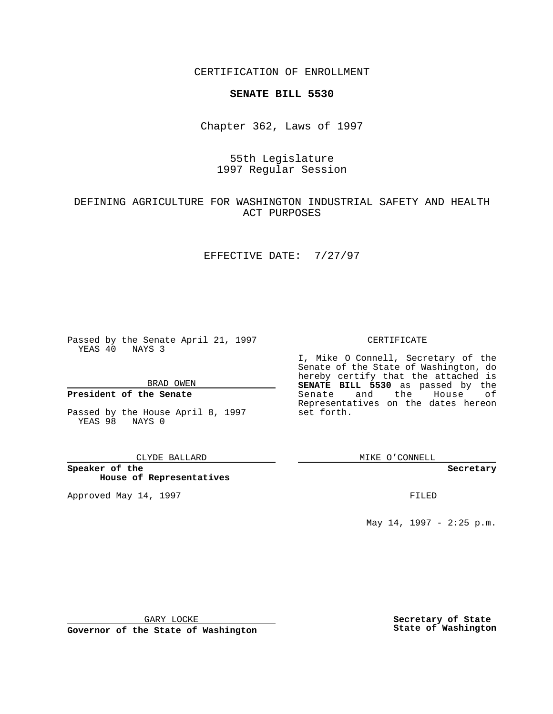CERTIFICATION OF ENROLLMENT

# **SENATE BILL 5530**

Chapter 362, Laws of 1997

# 55th Legislature 1997 Regular Session

# DEFINING AGRICULTURE FOR WASHINGTON INDUSTRIAL SAFETY AND HEALTH ACT PURPOSES

### EFFECTIVE DATE: 7/27/97

Passed by the Senate April 21, 1997 YEAS 40 NAYS 3

BRAD OWEN

### **President of the Senate**

Passed by the House April 8, 1997 YEAS 98 NAYS 0

#### CLYDE BALLARD

**Speaker of the House of Representatives**

Approved May 14, 1997 **FILED** 

### CERTIFICATE

I, Mike O Connell, Secretary of the Senate of the State of Washington, do hereby certify that the attached is **SENATE BILL 5530** as passed by the Senate and the House of Representatives on the dates hereon set forth.

MIKE O'CONNELL

#### **Secretary**

May 14, 1997 - 2:25 p.m.

GARY LOCKE

**Governor of the State of Washington**

**Secretary of State State of Washington**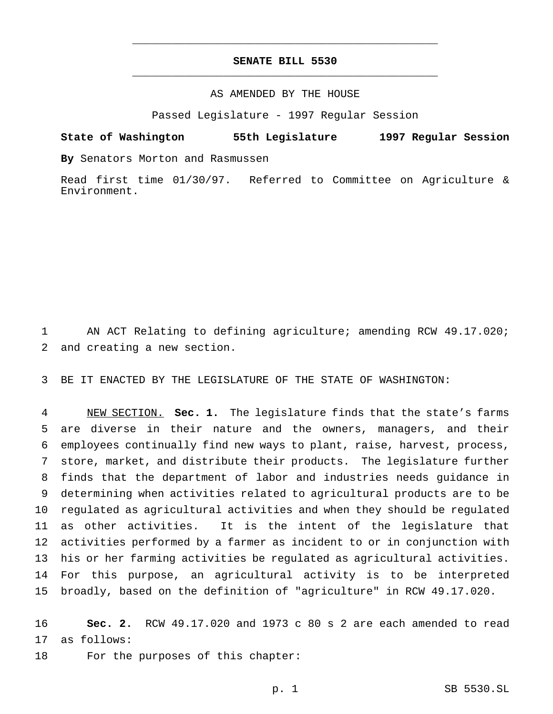## **SENATE BILL 5530** \_\_\_\_\_\_\_\_\_\_\_\_\_\_\_\_\_\_\_\_\_\_\_\_\_\_\_\_\_\_\_\_\_\_\_\_\_\_\_\_\_\_\_\_\_\_\_

\_\_\_\_\_\_\_\_\_\_\_\_\_\_\_\_\_\_\_\_\_\_\_\_\_\_\_\_\_\_\_\_\_\_\_\_\_\_\_\_\_\_\_\_\_\_\_

## AS AMENDED BY THE HOUSE

Passed Legislature - 1997 Regular Session

### **State of Washington 55th Legislature 1997 Regular Session**

**By** Senators Morton and Rasmussen

Read first time 01/30/97. Referred to Committee on Agriculture & Environment.

 AN ACT Relating to defining agriculture; amending RCW 49.17.020; and creating a new section.

BE IT ENACTED BY THE LEGISLATURE OF THE STATE OF WASHINGTON:

 NEW SECTION. **Sec. 1.** The legislature finds that the state's farms are diverse in their nature and the owners, managers, and their employees continually find new ways to plant, raise, harvest, process, store, market, and distribute their products. The legislature further finds that the department of labor and industries needs guidance in determining when activities related to agricultural products are to be regulated as agricultural activities and when they should be regulated as other activities. It is the intent of the legislature that activities performed by a farmer as incident to or in conjunction with his or her farming activities be regulated as agricultural activities. For this purpose, an agricultural activity is to be interpreted broadly, based on the definition of "agriculture" in RCW 49.17.020.

 **Sec. 2.** RCW 49.17.020 and 1973 c 80 s 2 are each amended to read as follows:

18 For the purposes of this chapter: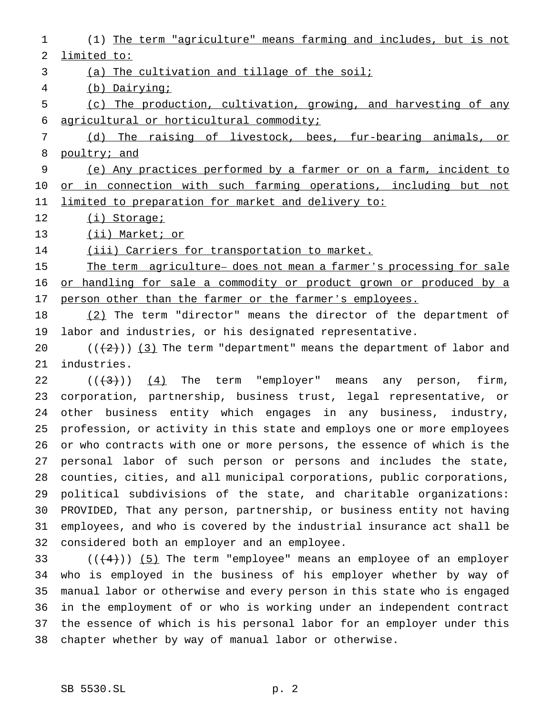(1) The term "agriculture" means farming and includes, but is not limited to: (a) The cultivation and tillage of the soil; (b) Dairying; (c) The production, cultivation, growing, and harvesting of any agricultural or horticultural commodity; (d) The raising of livestock, bees, fur-bearing animals, or 8 poultry; and (e) Any practices performed by a farmer or on a farm, incident to 10 or in connection with such farming operations, including but not limited to preparation for market and delivery to: 12 (i) Storage; 13 (ii) Market; or 14 (iii) Carriers for transportation to market. 15 The term agriculture- does not mean a farmer's processing for sale 16 or handling for sale a commodity or product grown or produced by a person other than the farmer or the farmer's employees. (2) The term "director" means the director of the department of labor and industries, or his designated representative.  $((+2))$   $(3)$  The term "department" means the department of labor and industries.  $((+3))$   $(4)$  The term "employer" means any person, firm, corporation, partnership, business trust, legal representative, or other business entity which engages in any business, industry, profession, or activity in this state and employs one or more employees or who contracts with one or more persons, the essence of which is the personal labor of such person or persons and includes the state, counties, cities, and all municipal corporations, public corporations, political subdivisions of the state, and charitable organizations: PROVIDED, That any person, partnership, or business entity not having employees, and who is covered by the industrial insurance act shall be considered both an employer and an employee.  $((+4))$  (5) The term "employee" means an employee of an employer who is employed in the business of his employer whether by way of manual labor or otherwise and every person in this state who is engaged in the employment of or who is working under an independent contract the essence of which is his personal labor for an employer under this chapter whether by way of manual labor or otherwise.